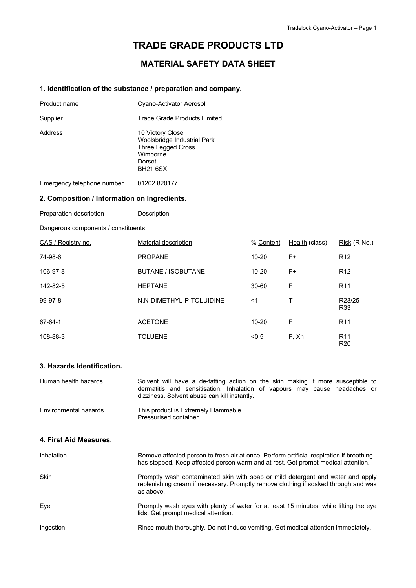# **TRADE GRADE PRODUCTS LTD**

## **MATERIAL SAFETY DATA SHEET**

#### **1. Identification of the substance / preparation and company.**

| Product name | Cyano-Activator Aerosol                                                                                               |
|--------------|-----------------------------------------------------------------------------------------------------------------------|
| Supplier     | Trade Grade Products Limited                                                                                          |
| Address      | 10 Victory Close<br>Woolsbridge Industrial Park<br><b>Three Legged Cross</b><br>Wimborne<br>Dorset<br><b>BH21 6SX</b> |

Emergency telephone number 01202 820177

#### **2. Composition / Information on Ingredients.**

Preparation description Description

Dangerous components / constituents

| CAS / Registry no. | Material description      | % Content | Health (class) | Risk (R No.)                       |
|--------------------|---------------------------|-----------|----------------|------------------------------------|
| 74-98-6            | <b>PROPANE</b>            | $10 - 20$ | F+             | R <sub>12</sub>                    |
| 106-97-8           | <b>BUTANE / ISOBUTANE</b> | $10 - 20$ | F+             | R <sub>12</sub>                    |
| 142-82-5           | <b>HEPTANE</b>            | $30 - 60$ | F              | R <sub>11</sub>                    |
| 99-97-8            | N,N-DIMETHYL-P-TOLUIDINE  | ≺1        |                | R23/25<br>R33                      |
| 67-64-1            | <b>ACETONE</b>            | $10 - 20$ | F              | R <sub>11</sub>                    |
| 108-88-3           | <b>TOLUENE</b>            | < 0.5     | F, Xn          | R <sub>11</sub><br>R <sub>20</sub> |

## **3. Hazards Identification.**

| Human health hazards   | Solvent will have a de-fatting action on the skin making it more susceptible to<br>dermatitis and sensitisation. Inhalation of vapours may cause headaches or<br>dizziness. Solvent abuse can kill instantly. |
|------------------------|---------------------------------------------------------------------------------------------------------------------------------------------------------------------------------------------------------------|
| Environmental hazards  | This product is Extremely Flammable.<br>Pressurised container.                                                                                                                                                |
| 4. First Aid Measures. |                                                                                                                                                                                                               |
| Inhalation             | Remove affected person to fresh air at once. Perform artificial respiration if breathing<br>has stopped. Keep affected person warm and at rest. Get prompt medical attention.                                 |
| <b>Skin</b>            | Promptly wash contaminated skin with soap or mild detergent and water and apply<br>replenishing cream if necessary. Promptly remove clothing if soaked through and was<br>as above.                           |
| Eye                    | Promptly wash eyes with plenty of water for at least 15 minutes, while lifting the eye<br>lids. Get prompt medical attention.                                                                                 |
| Ingestion              | Rinse mouth thoroughly. Do not induce vomiting. Get medical attention immediately.                                                                                                                            |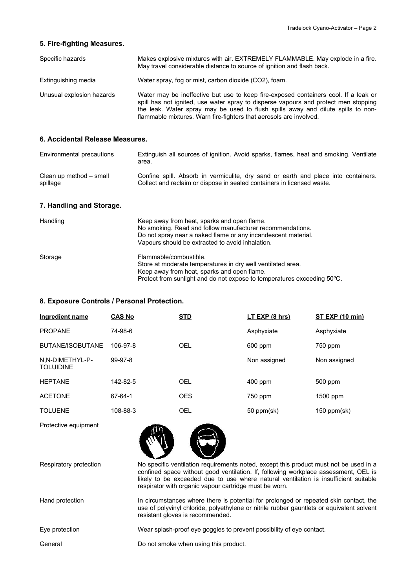#### **5. Fire-fighting Measures.**

| Specific hazards          | Makes explosive mixtures with air. EXTREMELY FLAMMABLE. May explode in a fire.<br>May travel considerable distance to source of ignition and flash back.                                                                                                                                                                             |
|---------------------------|--------------------------------------------------------------------------------------------------------------------------------------------------------------------------------------------------------------------------------------------------------------------------------------------------------------------------------------|
| Extinguishing media       | Water spray, fog or mist, carbon dioxide (CO2), foam.                                                                                                                                                                                                                                                                                |
| Unusual explosion hazards | Water may be ineffective but use to keep fire-exposed containers cool. If a leak or<br>spill has not ignited, use water spray to disperse vapours and protect men stopping<br>the leak. Water spray may be used to flush spills away and dilute spills to non-<br>flammable mixtures. Warn fire-fighters that aerosols are involved. |

#### **6. Accidental Release Measures.**

| Environmental precautions | Extinguish all sources of ignition. Avoid sparks, flames, heat and smoking. Ventilate<br>area. |
|---------------------------|------------------------------------------------------------------------------------------------|
| Clean up method – small   | Confine spill. Absorb in vermiculite, dry sand or earth and place into containers.             |
| spillage                  | Collect and reclaim or dispose in sealed containers in licensed waste.                         |

## **7. Handling and Storage.**

| Handling | Keep away from heat, sparks and open flame.<br>No smoking. Read and follow manufacturer recommendations.<br>Do not spray near a naked flame or any incandescent material.<br>Vapours should be extracted to avoid inhalation. |
|----------|-------------------------------------------------------------------------------------------------------------------------------------------------------------------------------------------------------------------------------|
| Storage  | Flammable/combustible.<br>Store at moderate temperatures in dry well ventilated area.<br>Keep away from heat, sparks and open flame.<br>Protect from sunlight and do not expose to temperatures exceeding 50°C.               |

### **8. Exposure Controls / Personal Protection.**

| Ingredient name                     | <b>CAS No</b> | <b>STD</b> | LT EXP (8 hrs) | ST EXP (10 min) |
|-------------------------------------|---------------|------------|----------------|-----------------|
| <b>PROPANE</b>                      | 74-98-6       |            | Asphyxiate     | Asphyxiate      |
| BUTANE/ISOBUTANE                    | 106-97-8      | <b>OEL</b> | 600 ppm        | 750 ppm         |
| N,N-DIMETHYL-P-<br><b>TOLUIDINE</b> | 99-97-8       |            | Non assigned   | Non assigned    |
| <b>HFPTANF</b>                      | 142-82-5      | <b>OEL</b> | $400$ ppm      | 500 ppm         |
| <b>ACFTONF</b>                      | 67-64-1       | <b>OES</b> | 750 ppm        | $1500$ ppm      |
| <b>TOLUENE</b>                      | 108-88-3      | OEL        | 50 ppm(sk)     | $150$ ppm(sk)   |

Protective equipment



| Respiratory protection | No specific ventilation requirements noted, except this product must not be used in a<br>confined space without good ventilation. If, following workplace assessment, OEL is<br>likely to be exceeded due to use where natural ventilation is insufficient suitable<br>respirator with organic vapour cartridge must be worn. |
|------------------------|-------------------------------------------------------------------------------------------------------------------------------------------------------------------------------------------------------------------------------------------------------------------------------------------------------------------------------|
| Hand protection        | In circumstances where there is potential for prolonged or repeated skin contact, the<br>use of polyvinyl chloride, polyethylene or nitrile rubber gauntlets or equivalent solvent<br>resistant gloves is recommended.                                                                                                        |
| Eye protection         | Wear splash-proof eye goggles to prevent possibility of eye contact.                                                                                                                                                                                                                                                          |
| General                | Do not smoke when using this product.                                                                                                                                                                                                                                                                                         |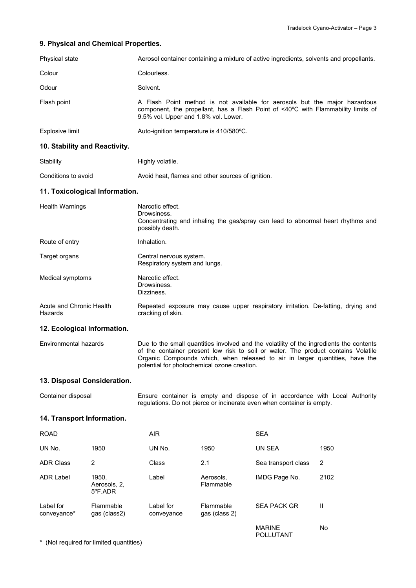## **9. Physical and Chemical Properties.**

| Physical state                      |                                  | Aerosol container containing a mixture of active ingredients, solvents and propellants. |                            |                                                                                                                                                                                                                                                              |      |
|-------------------------------------|----------------------------------|-----------------------------------------------------------------------------------------|----------------------------|--------------------------------------------------------------------------------------------------------------------------------------------------------------------------------------------------------------------------------------------------------------|------|
| Colour                              |                                  | Colourless.                                                                             |                            |                                                                                                                                                                                                                                                              |      |
| Odour                               |                                  | Solvent.                                                                                |                            |                                                                                                                                                                                                                                                              |      |
| Flash point                         |                                  | 9.5% vol. Upper and 1.8% vol. Lower.                                                    |                            | A Flash Point method is not available for aerosols but the major hazardous<br>component, the propellant, has a Flash Point of <40°C with Flammability limits of                                                                                              |      |
| Explosive limit                     |                                  | Auto-ignition temperature is 410/580°C.                                                 |                            |                                                                                                                                                                                                                                                              |      |
| 10. Stability and Reactivity.       |                                  |                                                                                         |                            |                                                                                                                                                                                                                                                              |      |
| Stability                           |                                  | Highly volatile.                                                                        |                            |                                                                                                                                                                                                                                                              |      |
| Conditions to avoid                 |                                  | Avoid heat, flames and other sources of ignition.                                       |                            |                                                                                                                                                                                                                                                              |      |
| 11. Toxicological Information.      |                                  |                                                                                         |                            |                                                                                                                                                                                                                                                              |      |
| <b>Health Warnings</b>              |                                  | Narcotic effect.<br>Drowsiness.<br>possibly death.                                      |                            | Concentrating and inhaling the gas/spray can lead to abnormal heart rhythms and                                                                                                                                                                              |      |
| Route of entry                      |                                  | Inhalation.                                                                             |                            |                                                                                                                                                                                                                                                              |      |
| Target organs                       |                                  | Central nervous system.<br>Respiratory system and lungs.                                |                            |                                                                                                                                                                                                                                                              |      |
| Medical symptoms                    |                                  | Narcotic effect.<br>Drowsiness.<br>Dizziness.                                           |                            |                                                                                                                                                                                                                                                              |      |
| Acute and Chronic Health<br>Hazards |                                  | cracking of skin.                                                                       |                            | Repeated exposure may cause upper respiratory irritation. De-fatting, drying and                                                                                                                                                                             |      |
| 12. Ecological Information.         |                                  |                                                                                         |                            |                                                                                                                                                                                                                                                              |      |
| Environmental hazards               |                                  | potential for photochemical ozone creation.                                             |                            | Due to the small quantities involved and the volatility of the ingredients the contents<br>of the container present low risk to soil or water. The product contains Volatile<br>Organic Compounds which, when released to air in larger quantities, have the |      |
| 13. Disposal Consideration.         |                                  |                                                                                         |                            |                                                                                                                                                                                                                                                              |      |
| Container disposal                  |                                  |                                                                                         |                            | Ensure container is empty and dispose of in accordance with Local Authority<br>regulations. Do not pierce or incinerate even when container is empty.                                                                                                        |      |
| 14. Transport Information.          |                                  |                                                                                         |                            |                                                                                                                                                                                                                                                              |      |
| <b>ROAD</b>                         |                                  | $\overline{AIR}$                                                                        |                            | <u>SEA</u>                                                                                                                                                                                                                                                   |      |
| UN No.                              | 1950                             | UN No.                                                                                  | 1950                       | UN SEA                                                                                                                                                                                                                                                       | 1950 |
| <b>ADR Class</b>                    | 2                                | Class                                                                                   | 2.1                        | Sea transport class                                                                                                                                                                                                                                          | 2    |
| <b>ADR Label</b>                    | 1950,<br>Aerosols, 2,<br>5°F.ADR | Label                                                                                   | Aerosols,<br>Flammable     | IMDG Page No.                                                                                                                                                                                                                                                | 2102 |
| Label for<br>conveyance*            | Flammable<br>gas (class2)        | Label for<br>conveyance                                                                 | Flammable<br>gas (class 2) | <b>SEA PACK GR</b>                                                                                                                                                                                                                                           | Ш    |
|                                     |                                  |                                                                                         |                            | <b>MARINE</b><br>POLLUTANT                                                                                                                                                                                                                                   | No   |

\* (Not required for limited quantities)